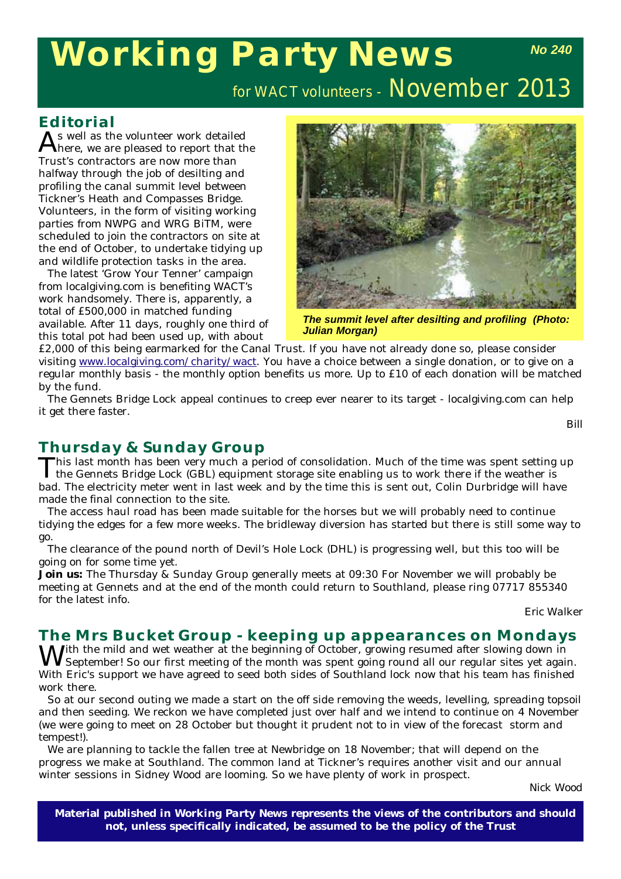## **Working Party News** *No 240*

for WACT volunteers - November 2013

#### **Editorial**

As well as the volunteer work detailed here, we are pleased to report that the Trust's contractors are now more than halfway through the job of desilting and profiling the canal summit level between Tickner's Heath and Compasses Bridge. Volunteers, in the form of visiting working parties from NWPG and WRG BiTM, were scheduled to join the contractors on site at the end of October, to undertake tidying up and wildlife protection tasks in the area.

The latest 'Grow Your Tenner' campaign from localgiving.com is benefiting WACT's work handsomely. There is, apparently, a total of £500,000 in matched funding available. After 11 days, roughly one third of this total pot had been used up, with about



*The summit level after desilting and profiling (Photo: Julian Morgan)* 

£2,000 of this being earmarked for the Canal Trust. If you have not already done so, please consider visiting www.localgiving.com/charity/wact. You have a choice between a single donation, or to give on a regular monthly basis - the monthly option benefits us more. Up to £10 of each donation will be matched by the fund.

The Gennets Bridge Lock appeal continues to creep ever nearer to its target - localgiving.com can help it get there faster.

*Bill*

### **Thursday & Sunday Group**

This last month has been very much a period of consolidation. Much of the time was spent setting up<br>the Gennets Bridge Lock (GBL) equipment storage site enabling us to work there if the weather is bad. The electricity meter went in last week and by the time this is sent out, Colin Durbridge will have made the final connection to the site.

The access haul road has been made suitable for the horses but we will probably need to continue tidying the edges for a few more weeks. The bridleway diversion has started but there is still some way to go.

The clearance of the pound north of Devil's Hole Lock (DHL) is progressing well, but this too will be going on for some time yet.

**Join us:** The Thursday & Sunday Group generally meets at 09:30 For November we will probably be meeting at Gennets and at the end of the month could return to Southland, please ring 07717 855340 for the latest info.

*Eric Walker*

# **The Mrs Bucket Group - keeping up appearances on Mondays IX** *J*ith the mild and wet weather at the beginning of October, growing resumed after slowing down in

With the mild and wet weather at the beginning of October, growing resumed after slowing down in<br>September! So our first meeting of the month was spent going round all our regular sites yet again. With Eric's support we have agreed to seed both sides of Southland lock now that his team has finished work there.

So at our second outing we made a start on the off side removing the weeds, levelling, spreading topsoil and then seeding. We reckon we have completed just over half and we intend to continue on 4 November (we were going to meet on 28 October but thought it prudent not to in view of the forecast storm and tempest!).

We are planning to tackle the fallen tree at Newbridge on 18 November; that will depend on the progress we make at Southland. The common land at Tickner's requires another visit and our annual winter sessions in Sidney Wood are looming. So we have plenty of work in prospect.

*Nick Wood*

**Material published in** *Working Party News* **represents the views of the contributors and should not, unless specifically indicated, be assumed to be the policy of the Trust**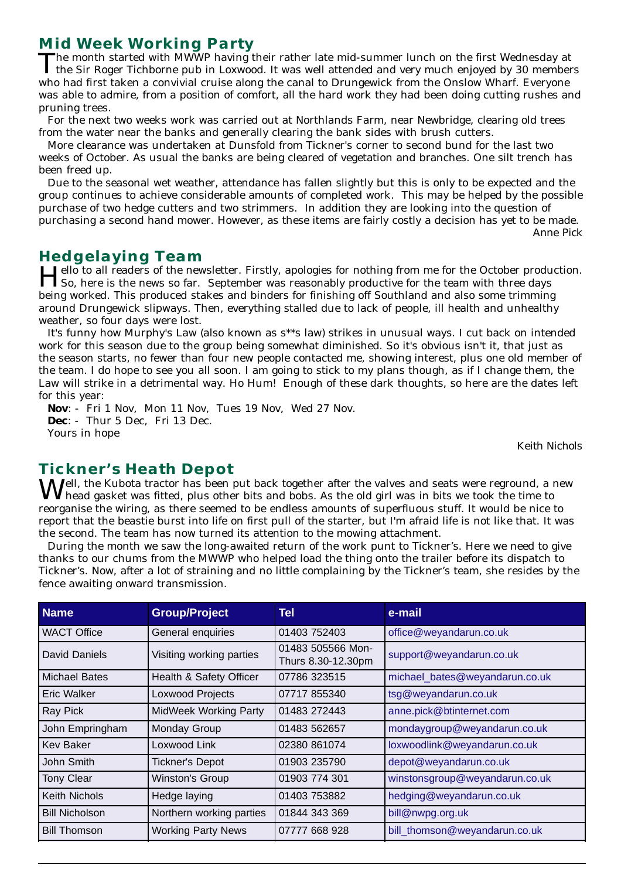### **Mid Week Working Party**

The month started with MWWP having their rather late mid-summer lunch on the first Wednesday at  $\perp$  the Sir Roger Tichborne pub in Loxwood. It was well attended and very much enjoyed by 30 members who had first taken a convivial cruise along the canal to Drungewick from the Onslow Wharf. Everyone was able to admire, from a position of comfort, all the hard work they had been doing cutting rushes and pruning trees.

For the next two weeks work was carried out at Northlands Farm, near Newbridge, clearing old trees from the water near the banks and generally clearing the bank sides with brush cutters.

More clearance was undertaken at Dunsfold from Tickner's corner to second bund for the last two weeks of October. As usual the banks are being cleared of vegetation and branches. One silt trench has been freed up.

Due to the seasonal wet weather, attendance has fallen slightly but this is only to be expected and the group continues to achieve considerable amounts of completed work. This may be helped by the possible purchase of two hedge cutters and two strimmers. In addition they are looking into the question of purchasing a second hand mower. However, as these items are fairly costly a decision has yet to be made. *Anne Pick*

**Hedgelaying Team**<br>**I Jello to all readers of the newsletter. Firstly, apologies for nothing from me for the October production.** Hello to all readers of the newsletter. Firstly, apologies for nothing from me for the October production.<br>So, here is the news so far. September was reasonably productive for the team with three days being worked. This produced stakes and binders for finishing off Southland and also some trimming around Drungewick slipways. Then, everything stalled due to lack of people, ill health and unhealthy weather, so four days were lost.

It's funny how Murphy's Law (also known as s\*\*s law) strikes in unusual ways. I cut back on intended work for this season due to the group being somewhat diminished. So it's obvious isn't it, that just as the season starts, no fewer than four new people contacted me, showing interest, plus one old member of the team. I do hope to see you all soon. I am going to stick to my plans though, as if I change them, the Law will strike in a detrimental way. Ho Hum! Enough of these dark thoughts, so here are the dates left for this year:

**Nov**: - Fri 1 Nov, Mon 11 Nov, Tues 19 Nov, Wed 27 Nov. **Dec**: - Thur 5 Dec, Fri 13 Dec. Yours in hope

*Keith Nichols*

### **Tickner's Heath Depot**

 $\bf{W}$ ell, the Kubota tractor has been put back together after the valves and seats were reground, a new head gasket was fitted, plus other bits and bobs. As the old girl was in bits we took the time to reorganise the wiring, as there seemed to be endless amounts of superfluous stuff. It would be nice to report that the beastie burst into life on first pull of the starter, but I'm afraid life is not like that. It was the second. The team has now turned its attention to the mowing attachment.

During the month we saw the long-awaited return of the work punt to Tickner's. Here we need to give thanks to our chums from the MWWP who helped load the thing onto the trailer before its dispatch to Tickner's. Now, after a lot of straining and no little complaining by the Tickner's team, she resides by the fence awaiting onward transmission.

| <b>Name</b>           | <b>Group/Project</b>         | Tel                                     | e-mail                         |
|-----------------------|------------------------------|-----------------------------------------|--------------------------------|
| <b>WACT Office</b>    | General enquiries            | 01403 752403                            | office@weyandarun.co.uk        |
| David Daniels         | Visiting working parties     | 01483 505566 Mon-<br>Thurs 8.30-12.30pm | support@weyandarun.co.uk       |
| <b>Michael Bates</b>  | Health & Safety Officer      | 07786 323515                            | michael_bates@weyandarun.co.uk |
| Eric Walker           | Loxwood Projects             | 07717 855340                            | tsg@weyandarun.co.uk           |
| Ray Pick              | <b>MidWeek Working Party</b> | 01483 272443                            | anne.pick@btinternet.com       |
| John Empringham       | Monday Group                 | 01483 562657                            | mondaygroup@weyandarun.co.uk   |
| <b>Kev Baker</b>      | Loxwood Link                 | 02380 861074                            | loxwoodlink@weyandarun.co.uk   |
| John Smith            | <b>Tickner's Depot</b>       | 01903 235790                            | depot@weyandarun.co.uk         |
| Tony Clear            | Winston's Group              | 01903 774 301                           | winstonsgroup@weyandarun.co.uk |
| <b>Keith Nichols</b>  | Hedge laying                 | 01403 753882                            | hedging@weyandarun.co.uk       |
| <b>Bill Nicholson</b> | Northern working parties     | 01844 343 369                           | bill@nwpg.org.uk               |
| <b>Bill Thomson</b>   | <b>Working Party News</b>    | 07777 668 928                           | bill_thomson@weyandarun.co.uk  |